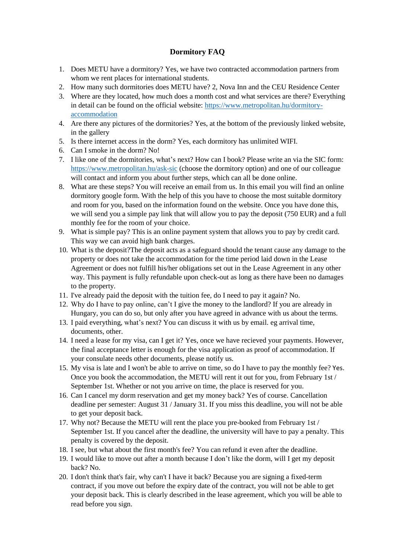## **Dormitory FAQ**

- 1. Does METU have a dormitory? Yes, we have two contracted accommodation partners from whom we rent places for international students.
- 2. How many such dormitories does METU have? 2, Nova Inn and the CEU Residence Center
- 3. Where are they located, how much does a month cost and what services are there? Everything in detail can be found on the official website: [https://www.metropolitan.hu/dormitory](https://www.metropolitan.hu/dormitory-accommodation)[accommodation](https://www.metropolitan.hu/dormitory-accommodation)
- 4. Are there any pictures of the dormitories? Yes, at the bottom of the previously linked website, in the gallery
- 5. Is there internet access in the dorm? Yes, each dormitory has unlimited WIFI.
- 6. Can I smoke in the dorm? No!
- 7. I like one of the dormitories, what's next? How can I book? Please write an via the SIC form: <https://www.metropolitan.hu/ask-sic> (choose the dormitory option) and one of our colleague will contact and inform you about further steps, which can all be done online.
- 8. What are these steps? You will receive an email from us. In this email you will find an online dormitory google form. With the help of this you have to choose the most suitable dormitory and room for you, based on the information found on the website. Once you have done this, we will send you a simple pay link that will allow you to pay the deposit (750 EUR) and a full monthly fee for the room of your choice.
- 9. What is simple pay? This is an online payment system that allows you to pay by credit card. This way we can avoid high bank charges.
- 10. What is the deposit?The deposit acts as a safeguard should the tenant cause any damage to the property or does not take the accommodation for the time period laid down in the Lease Agreement or does not fulfill his/her obligations set out in the Lease Agreement in any other way. This payment is fully refundable upon check-out as long as there have been no damages to the property.
- 11. I've already paid the deposit with the tuition fee, do I need to pay it again? No.
- 12. Why do I have to pay online, can't I give the money to the landlord? If you are already in Hungary, you can do so, but only after you have agreed in advance with us about the terms.
- 13. I paid everything, what's next? You can discuss it with us by email. eg arrival time, documents, other.
- 14. I need a lease for my visa, can I get it? Yes, once we have recieved your payments. However, the final acceptance letter is enough for the visa application as proof of accommodation. If your consulate needs other documents, please notify us.
- 15. My visa is late and I won't be able to arrive on time, so do I have to pay the monthly fee? Yes. Once you book the accommodation, the METU will rent it out for you, from February 1st / September 1st. Whether or not you arrive on time, the place is reserved for you.
- 16. Can I cancel my dorm reservation and get my money back? Yes of course. Cancellation deadline per semester: August 31 / January 31. If you miss this deadline, you will not be able to get your deposit back.
- 17. Why not? Because the METU will rent the place you pre-booked from February 1st / September 1st. If you cancel after the deadline, the university will have to pay a penalty. This penalty is covered by the deposit.
- 18. I see, but what about the first month's fee? You can refund it even after the deadline.
- 19. I would like to move out after a month because I don't like the dorm, will I get my deposit back? No.
- 20. I don't think that's fair, why can't I have it back? Because you are signing a fixed-term contract, if you move out before the expiry date of the contract, you will not be able to get your deposit back. This is clearly described in the lease agreement, which you will be able to read before you sign.